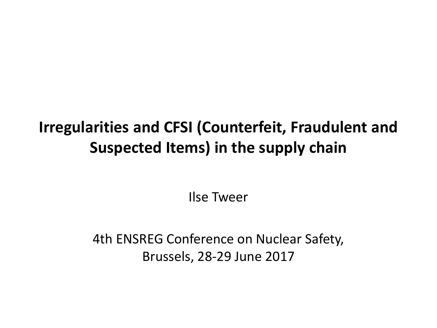# **Irregularities and CFSI (Counterfeit, Fraudulent and Suspected Items) in the supply chain**

Ilse Tweer

4th ENSREG Conference on Nuclear Safety, Brussels, 28-29 June 2017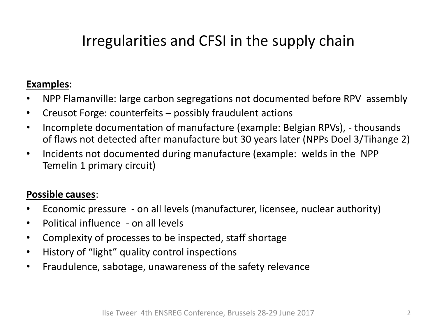## Irregularities and CFSI in the supply chain

#### **Examples**:

- NPP Flamanville: large carbon segregations not documented before RPV assembly
- Creusot Forge: counterfeits possibly fraudulent actions
- Incomplete documentation of manufacture (example: Belgian RPVs), thousands of flaws not detected after manufacture but 30 years later (NPPs Doel 3/Tihange 2)
- Incidents not documented during manufacture (example: welds in the NPP Temelin 1 primary circuit)

#### **Possible causes**:

- Economic pressure on all levels (manufacturer, licensee, nuclear authority)
- Political influence on all levels
- Complexity of processes to be inspected, staff shortage
- History of "light" quality control inspections
- Fraudulence, sabotage, unawareness of the safety relevance